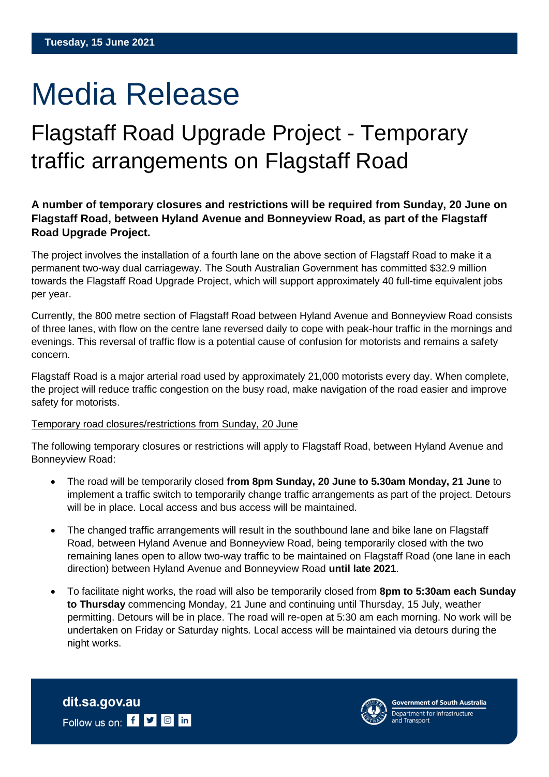# Media Release

## Flagstaff Road Upgrade Project - Temporary traffic arrangements on Flagstaff Road

### **A number of temporary closures and restrictions will be required from Sunday, 20 June on Flagstaff Road, between Hyland Avenue and Bonneyview Road, as part of the Flagstaff Road Upgrade Project.**

The project involves the installation of a fourth lane on the above section of Flagstaff Road to make it a permanent two-way dual carriageway. The South Australian Government has committed \$32.9 million towards the Flagstaff Road Upgrade Project, which will support approximately 40 full-time equivalent jobs per year.

Currently, the 800 metre section of Flagstaff Road between Hyland Avenue and Bonneyview Road consists of three lanes, with flow on the centre lane reversed daily to cope with peak-hour traffic in the mornings and evenings. This reversal of traffic flow is a potential cause of confusion for motorists and remains a safety concern.

Flagstaff Road is a major arterial road used by approximately 21,000 motorists every day. When complete, the project will reduce traffic congestion on the busy road, make navigation of the road easier and improve safety for motorists.

#### Temporary road closures/restrictions from Sunday, 20 June

The following temporary closures or restrictions will apply to Flagstaff Road, between Hyland Avenue and Bonneyview Road:

- The road will be temporarily closed **from 8pm Sunday, 20 June to 5.30am Monday, 21 June** to implement a traffic switch to temporarily change traffic arrangements as part of the project. Detours will be in place. Local access and bus access will be maintained.
- The changed traffic arrangements will result in the southbound lane and bike lane on Flagstaff Road, between Hyland Avenue and Bonneyview Road, being temporarily closed with the two remaining lanes open to allow two-way traffic to be maintained on Flagstaff Road (one lane in each direction) between Hyland Avenue and Bonneyview Road **until late 2021**.
- To facilitate night works, the road will also be temporarily closed from **8pm to 5:30am each Sunday to Thursday** commencing Monday, 21 June and continuing until Thursday, 15 July, weather permitting. Detours will be in place. The road will re-open at 5:30 am each morning. No work will be undertaken on Friday or Saturday nights. Local access will be maintained via detours during the night works.

dit.sa.gov.au Follow us on: f **y o** in



**Government of South Australia** Department for Infrastructure